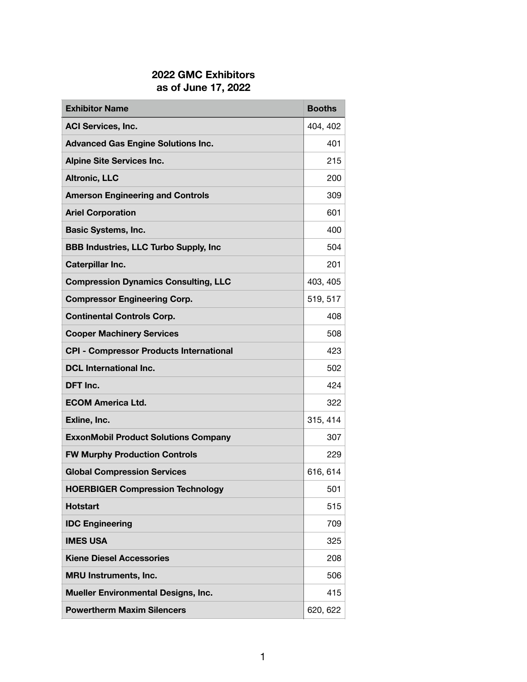## **2022 GMC Exhibitors as of June 17, 2022**

| <b>Exhibitor Name</b>                          | <b>Booths</b> |
|------------------------------------------------|---------------|
| <b>ACI Services, Inc.</b>                      | 404, 402      |
| <b>Advanced Gas Engine Solutions Inc.</b>      | 401           |
| <b>Alpine Site Services Inc.</b>               | 215           |
| <b>Altronic, LLC</b>                           | 200           |
| <b>Amerson Engineering and Controls</b>        | 309           |
| <b>Ariel Corporation</b>                       | 601           |
| <b>Basic Systems, Inc.</b>                     | 400           |
| <b>BBB Industries, LLC Turbo Supply, Inc</b>   | 504           |
| <b>Caterpillar Inc.</b>                        | 201           |
| <b>Compression Dynamics Consulting, LLC</b>    | 403, 405      |
| <b>Compressor Engineering Corp.</b>            | 519, 517      |
| <b>Continental Controls Corp.</b>              | 408           |
| <b>Cooper Machinery Services</b>               | 508           |
| <b>CPI - Compressor Products International</b> | 423           |
| <b>DCL International Inc.</b>                  | 502           |
| DFT Inc.                                       | 424           |
| <b>ECOM America Ltd.</b>                       | 322           |
| Exline, Inc.                                   | 315, 414      |
| <b>ExxonMobil Product Solutions Company</b>    | 307           |
| <b>FW Murphy Production Controls</b>           | 229           |
| <b>Global Compression Services</b>             | 616, 614      |
| <b>HOERBIGER Compression Technology</b>        | 501           |
| <b>Hotstart</b>                                | 515           |
| <b>IDC Engineering</b>                         | 709           |
| <b>IMES USA</b>                                | 325           |
| <b>Kiene Diesel Accessories</b>                | 208           |
| <b>MRU Instruments, Inc.</b>                   | 506           |
| <b>Mueller Environmental Designs, Inc.</b>     | 415           |
| <b>Powertherm Maxim Silencers</b>              | 620, 622      |